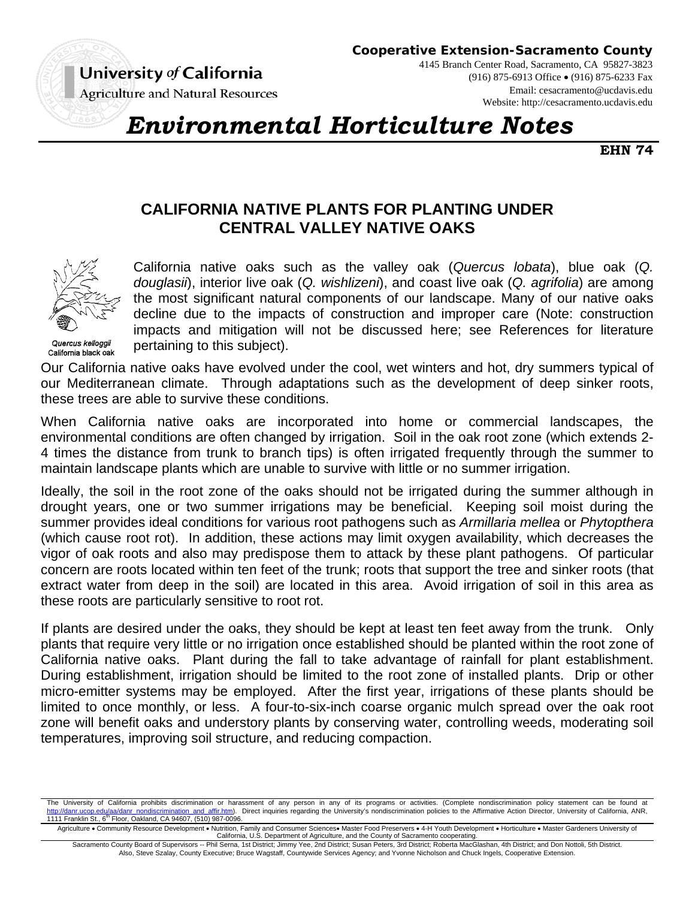

**Cooperative Extension-Sacramento County**

4145 Branch Center Road, Sacramento, CA 95827-3823 (916) 875-6913 Office (916) 875-6233 Fax Email: cesacramento@ucdavis.edu Website: http://cesacramento.ucdavis.edu

# *Environmental Horticulture Notes*

**EHN 74**

# **CALIFORNIA NATIVE PLANTS FOR PLANTING UNDER CENTRAL VALLEY NATIVE OAKS**



California black oak

California native oaks such as the valley oak (*Quercus lobata*), blue oak (*Q. douglasii*), interior live oak (*Q. wishlizeni*), and coast live oak (*Q. agrifolia*) are among the most significant natural components of our landscape. Many of our native oaks decline due to the impacts of construction and improper care (Note: construction impacts and mitigation will not be discussed here; see References for literature pertaining to this subject).

Our California native oaks have evolved under the cool, wet winters and hot, dry summers typical of our Mediterranean climate. Through adaptations such as the development of deep sinker roots, these trees are able to survive these conditions.

When California native oaks are incorporated into home or commercial landscapes, the environmental conditions are often changed by irrigation. Soil in the oak root zone (which extends 2- 4 times the distance from trunk to branch tips) is often irrigated frequently through the summer to maintain landscape plants which are unable to survive with little or no summer irrigation.

Ideally, the soil in the root zone of the oaks should not be irrigated during the summer although in drought years, one or two summer irrigations may be beneficial. Keeping soil moist during the summer provides ideal conditions for various root pathogens such as *Armillaria mellea* or *Phytopthera*  (which cause root rot). In addition, these actions may limit oxygen availability, which decreases the vigor of oak roots and also may predispose them to attack by these plant pathogens. Of particular concern are roots located within ten feet of the trunk; roots that support the tree and sinker roots (that extract water from deep in the soil) are located in this area. Avoid irrigation of soil in this area as these roots are particularly sensitive to root rot.

If plants are desired under the oaks, they should be kept at least ten feet away from the trunk. Only plants that require very little or no irrigation once established should be planted within the root zone of California native oaks. Plant during the fall to take advantage of rainfall for plant establishment. During establishment, irrigation should be limited to the root zone of installed plants. Drip or other micro-emitter systems may be employed. After the first year, irrigations of these plants should be limited to once monthly, or less. A four-to-six-inch coarse organic mulch spread over the oak root zone will benefit oaks and understory plants by conserving water, controlling weeds, moderating soil temperatures, improving soil structure, and reducing compaction.

Agriculture • Community Resource Development • Nutrition, Family and Consumer Sciences• Master Food Preservers • 4-H Youth Development • Horticulture • Master Gardeners University of<br>California, U.S. Department of Agricul

Sacramento County Board of Supervisors -- Phil Serna, 1st District; Jimmy Yee, 2nd District; Susan Peters, 3rd District; Roberta MacGlashan, 4th District; and Don Nottoli, 5th District. Also, Steve Szalay, County Executive; Bruce Wagstaff, Countywide Services Agency; and Yvonne Nicholson and Chuck Ingels, Cooperative Extension.

The University of California prohibits discrimination or harassment of any person in any of its programs or activities. (Complete nondiscrimination policy statement can be found at danr.ucop.edu/aa/danr\_nondiscrimination\_and\_affir.htm). Direct inquiries regarding the University's nondiscrimination policies to the Affirmative Action Director, University of California, ANR, 1111 Franklin St., 6<sup>th</sup> Floor, Oakland, CA 94607, (510) 987-0096.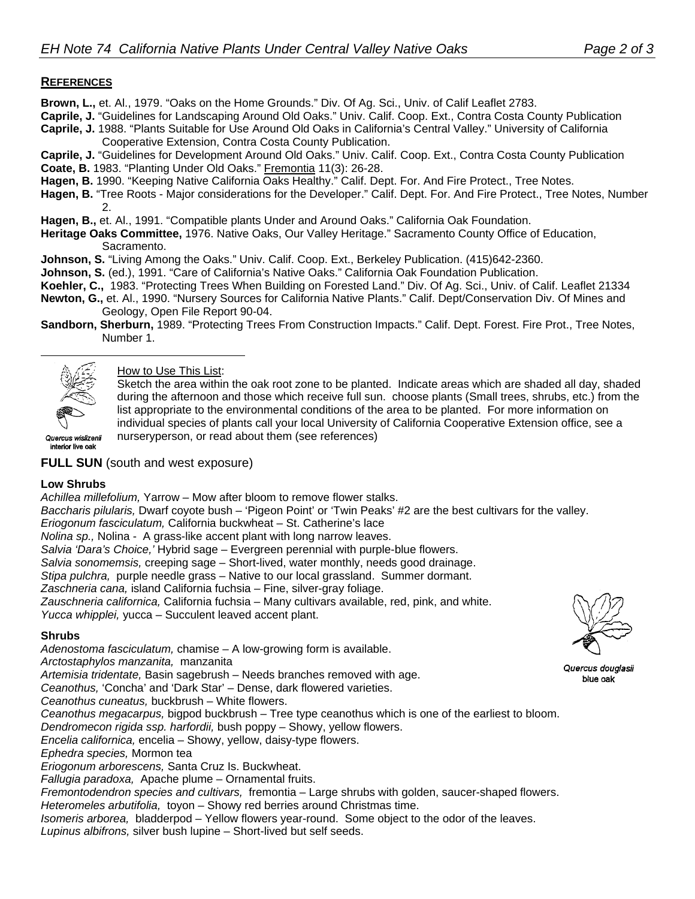### **REFERENCES**

- **Brown, L.,** et. Al., 1979. "Oaks on the Home Grounds." Div. Of Ag. Sci., Univ. of Calif Leaflet 2783.
- **Caprile, J.** "Guidelines for Landscaping Around Old Oaks." Univ. Calif. Coop. Ext., Contra Costa County Publication
- **Caprile, J.** 1988. "Plants Suitable for Use Around Old Oaks in California's Central Valley." University of California Cooperative Extension, Contra Costa County Publication.
- **Caprile, J.** "Guidelines for Development Around Old Oaks." Univ. Calif. Coop. Ext., Contra Costa County Publication
- **Coate, B.** 1983. "Planting Under Old Oaks." Fremontia 11(3): 26-28.
- **Hagen, B.** 1990. "Keeping Native California Oaks Healthy." Calif. Dept. For. And Fire Protect., Tree Notes.
- **Hagen, B.** "Tree Roots Major considerations for the Developer." Calif. Dept. For. And Fire Protect., Tree Notes, Number 2.
- **Hagen, B.,** et. Al., 1991. "Compatible plants Under and Around Oaks." California Oak Foundation.
- **Heritage Oaks Committee,** 1976. Native Oaks, Our Valley Heritage." Sacramento County Office of Education, Sacramento.
- **Johnson, S.** "Living Among the Oaks." Univ. Calif. Coop. Ext., Berkeley Publication. (415)642-2360.
- **Johnson, S.** (ed.), 1991. "Care of California's Native Oaks." California Oak Foundation Publication.
- **Koehler, C.,** 1983. "Protecting Trees When Building on Forested Land." Div. Of Ag. Sci., Univ. of Calif. Leaflet 21334
- **Newton, G.,** et. Al., 1990. "Nursery Sources for California Native Plants." Calif. Dept/Conservation Div. Of Mines and Geology, Open File Report 90-04.
- **Sandborn, Sherburn,** 1989. "Protecting Trees From Construction Impacts." Calif. Dept. Forest. Fire Prot., Tree Notes, Number 1.



 $\overline{a}$ 

How to Use This List:

Sketch the area within the oak root zone to be planted. Indicate areas which are shaded all day, shaded during the afternoon and those which receive full sun. choose plants (Small trees, shrubs, etc.) from the list appropriate to the environmental conditions of the area to be planted. For more information on individual species of plants call your local University of California Cooperative Extension office, see a nurseryperson, or read about them (see references)

Quercus wislizenii interior live oak

# **FULL SUN** (south and west exposure)

#### **Low Shrubs**

*Achillea millefolium,* Yarrow – Mow after bloom to remove flower stalks.

*Baccharis pilularis,* Dwarf coyote bush – 'Pigeon Point' or 'Twin Peaks' #2 are the best cultivars for the valley.

*Eriogonum fasciculatum,* California buckwheat – St. Catherine's lace

*Nolina sp.,* Nolina - A grass-like accent plant with long narrow leaves.

*Salvia 'Dara's Choice,'* Hybrid sage – Evergreen perennial with purple-blue flowers.

*Salvia sonomemsis,* creeping sage – Short-lived, water monthly, needs good drainage.

*Stipa pulchra,* purple needle grass – Native to our local grassland. Summer dormant.

*Zaschneria cana,* island California fuchsia – Fine, silver-gray foliage.

*Zauschneria californica,* California fuchsia – Many cultivars available, red, pink, and white. *Yucca whipplei,* yucca – Succulent leaved accent plant.

#### **Shrubs**

*Adenostoma fasciculatum,* chamise – A low-growing form is available.

*Arctostaphylos manzanita,* manzanita

*Artemisia tridentate,* Basin sagebrush – Needs branches removed with age.

*Ceanothus,* 'Concha' and 'Dark Star' – Dense, dark flowered varieties.

*Ceanothus cuneatus,* buckbrush – White flowers.

*Ceanothus megacarpus,* bigpod buckbrush – Tree type ceanothus which is one of the earliest to bloom.

*Dendromecon rigida ssp. harfordii,* bush poppy – Showy, yellow flowers.

*Encelia californica,* encelia – Showy, yellow, daisy-type flowers.

*Ephedra species,* Mormon tea

*Eriogonum arborescens,* Santa Cruz Is. Buckwheat.

*Fallugia paradoxa,* Apache plume – Ornamental fruits.

*Fremontodendron species and cultivars,* fremontia – Large shrubs with golden, saucer-shaped flowers.

*Heteromeles arbutifolia,* toyon – Showy red berries around Christmas time.

*Isomeris arborea,* bladderpod – Yellow flowers year-round. Some object to the odor of the leaves.

*Lupinus albifrons,* silver bush lupine – Short-lived but self seeds.



Quercus douglasii blue oak